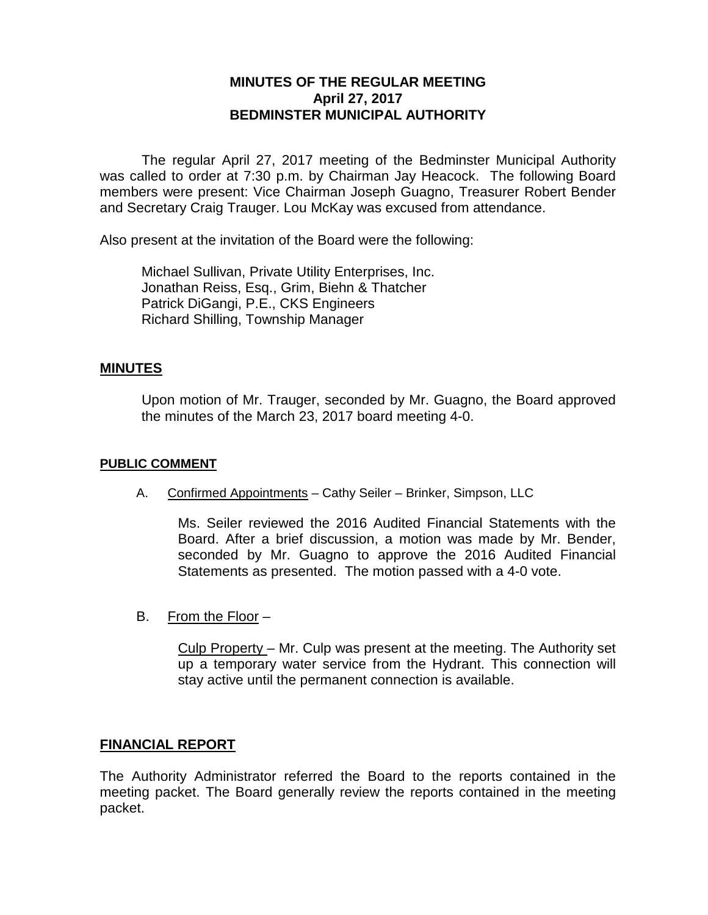# **MINUTES OF THE REGULAR MEETING April 27, 2017 BEDMINSTER MUNICIPAL AUTHORITY**

The regular April 27, 2017 meeting of the Bedminster Municipal Authority was called to order at 7:30 p.m. by Chairman Jay Heacock. The following Board members were present: Vice Chairman Joseph Guagno, Treasurer Robert Bender and Secretary Craig Trauger. Lou McKay was excused from attendance.

Also present at the invitation of the Board were the following:

Michael Sullivan, Private Utility Enterprises, Inc. Jonathan Reiss, Esq., Grim, Biehn & Thatcher Patrick DiGangi, P.E., CKS Engineers Richard Shilling, Township Manager

### **MINUTES**

Upon motion of Mr. Trauger, seconded by Mr. Guagno, the Board approved the minutes of the March 23, 2017 board meeting 4-0.

### **PUBLIC COMMENT**

A. Confirmed Appointments – Cathy Seiler – Brinker, Simpson, LLC

Ms. Seiler reviewed the 2016 Audited Financial Statements with the Board. After a brief discussion, a motion was made by Mr. Bender, seconded by Mr. Guagno to approve the 2016 Audited Financial Statements as presented. The motion passed with a 4-0 vote.

B. From the Floor –

Culp Property – Mr. Culp was present at the meeting. The Authority set up a temporary water service from the Hydrant. This connection will stay active until the permanent connection is available.

### **FINANCIAL REPORT**

The Authority Administrator referred the Board to the reports contained in the meeting packet. The Board generally review the reports contained in the meeting packet.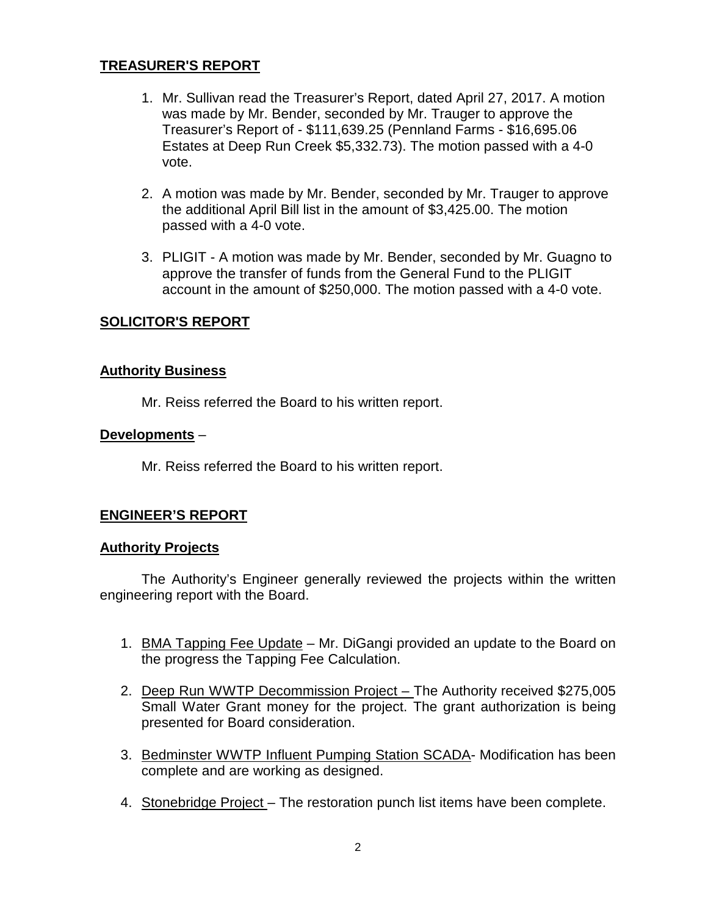# **TREASURER'S REPORT**

- 1. Mr. Sullivan read the Treasurer's Report, dated April 27, 2017. A motion was made by Mr. Bender, seconded by Mr. Trauger to approve the Treasurer's Report of - \$111,639.25 (Pennland Farms - \$16,695.06 Estates at Deep Run Creek \$5,332.73). The motion passed with a 4-0 vote.
- 2. A motion was made by Mr. Bender, seconded by Mr. Trauger to approve the additional April Bill list in the amount of \$3,425.00. The motion passed with a 4-0 vote.
- 3. PLIGIT A motion was made by Mr. Bender, seconded by Mr. Guagno to approve the transfer of funds from the General Fund to the PLIGIT account in the amount of \$250,000. The motion passed with a 4-0 vote.

## **SOLICITOR'S REPORT**

### **Authority Business**

Mr. Reiss referred the Board to his written report.

#### **Developments** –

Mr. Reiss referred the Board to his written report.

### **ENGINEER'S REPORT**

#### **Authority Projects**

The Authority's Engineer generally reviewed the projects within the written engineering report with the Board.

- 1. BMA Tapping Fee Update Mr. DiGangi provided an update to the Board on the progress the Tapping Fee Calculation.
- 2. Deep Run WWTP Decommission Project The Authority received \$275,005 Small Water Grant money for the project. The grant authorization is being presented for Board consideration.
- 3. Bedminster WWTP Influent Pumping Station SCADA- Modification has been complete and are working as designed.
- 4. Stonebridge Project The restoration punch list items have been complete.